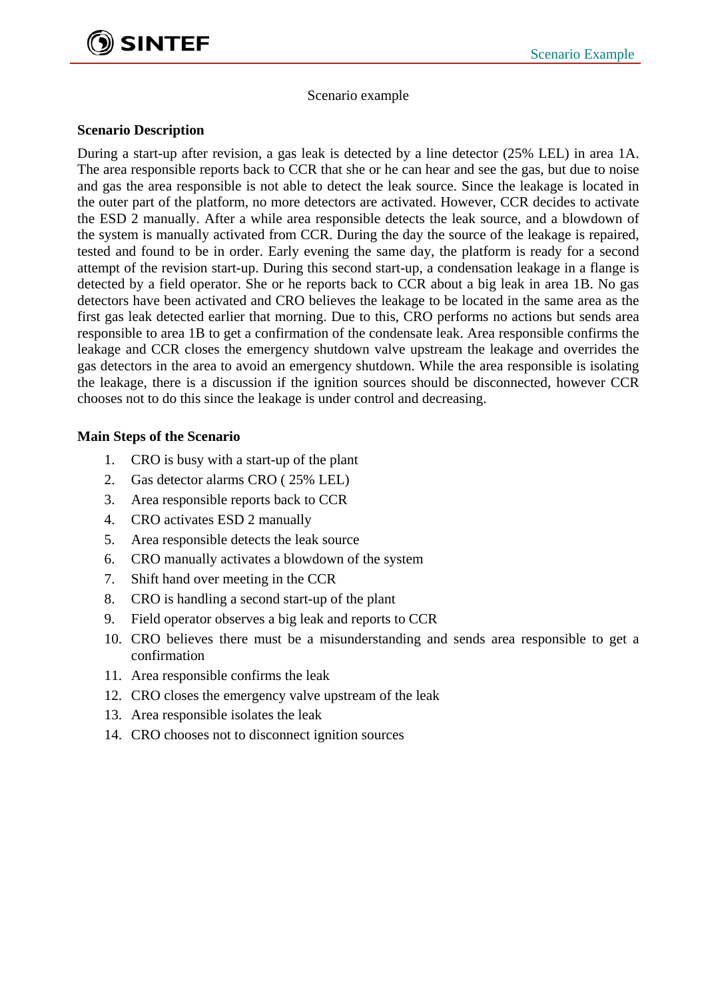

Scenario example

## **Scenario Description**

During a start-up after revision, a gas leak is detected by a line detector (25% LEL) in area 1A. The area responsible reports back to CCR that she or he can hear and see the gas, but due to noise and gas the area responsible is not able to detect the leak source. Since the leakage is located in the outer part of the platform, no more detectors are activated. However, CCR decides to activate the ESD 2 manually. After a while area responsible detects the leak source, and a blowdown of the system is manually activated from CCR. During the day the source of the leakage is repaired, tested and found to be in order. Early evening the same day, the platform is ready for a second attempt of the revision start-up. During this second start-up, a condensation leakage in a flange is detected by a field operator. She or he reports back to CCR about a big leak in area 1B. No gas detectors have been activated and CRO believes the leakage to be located in the same area as the first gas leak detected earlier that morning. Due to this, CRO performs no actions but sends area responsible to area 1B to get a confirmation of the condensate leak. Area responsible confirms the leakage and CCR closes the emergency shutdown valve upstream the leakage and overrides the gas detectors in the area to avoid an emergency shutdown. While the area responsible is isolating the leakage, there is a discussion if the ignition sources should be disconnected, however CCR chooses not to do this since the leakage is under control and decreasing.

## **Main Steps of the Scenario**

- 1. CRO is busy with a start-up of the plant
- 2. Gas detector alarms CRO ( 25% LEL)
- 3. Area responsible reports back to CCR
- 4. CRO activates ESD 2 manually
- 5. Area responsible detects the leak source
- 6. CRO manually activates a blowdown of the system
- 7. Shift hand over meeting in the CCR
- 8. CRO is handling a second start-up of the plant
- 9. Field operator observes a big leak and reports to CCR
- 10. CRO believes there must be a misunderstanding and sends area responsible to get a confirmation
- 11. Area responsible confirms the leak
- 12. CRO closes the emergency valve upstream of the leak
- 13. Area responsible isolates the leak
- 14. CRO chooses not to disconnect ignition sources